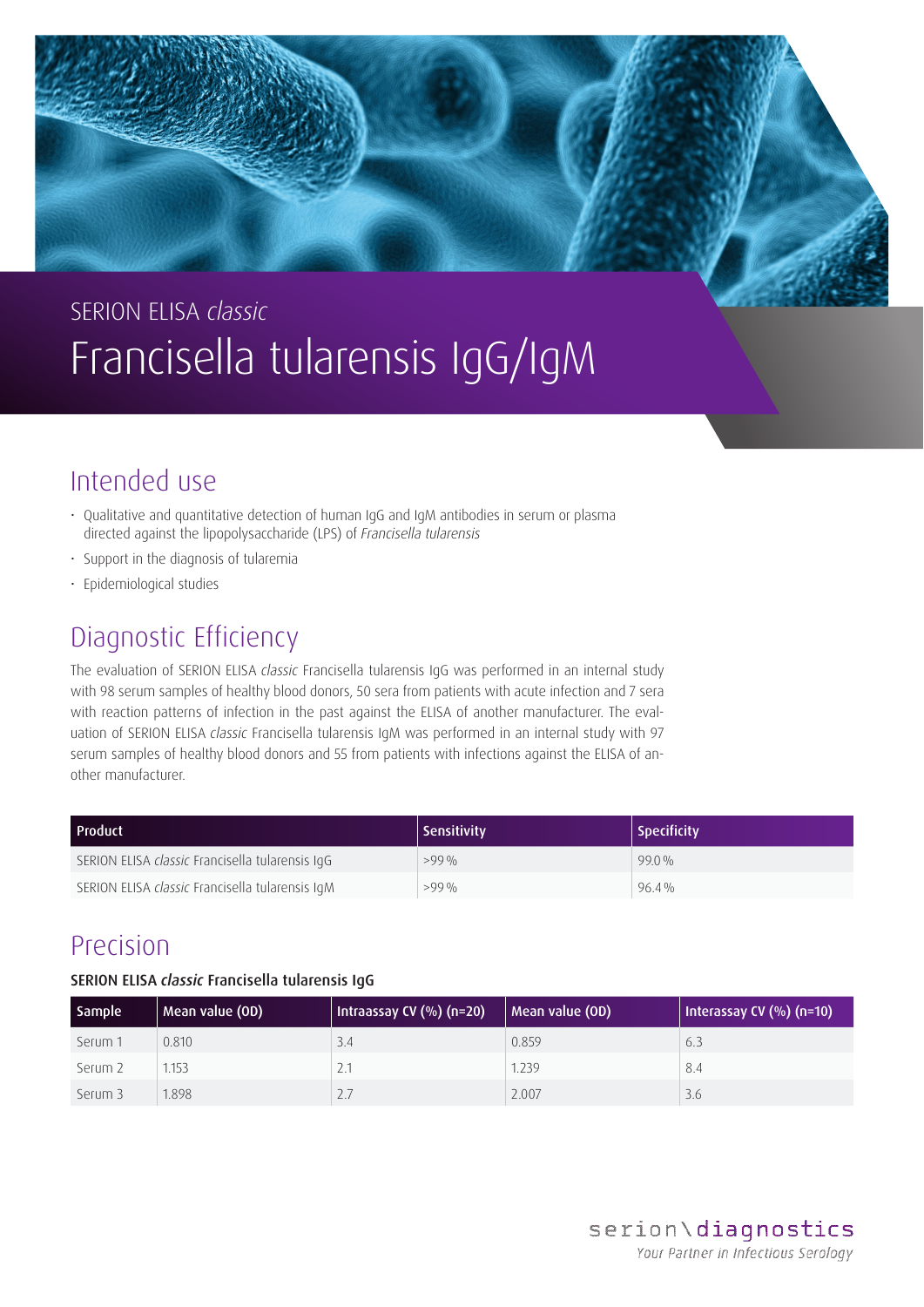# SERION ELISA *classic* Francisella tularensis IgG/IgM

# Intended use

- Qualitative and quantitative detection of human IgG and IgM antibodies in serum or plasma directed against the lipopolysaccharide (LPS) of *Francisella tularensis*
- Support in the diagnosis of tularemia
- Epidemiological studies

# Diagnostic Efficiency

The evaluation of SERION ELISA *classic* Francisella tularensis IgG was performed in an internal study with 98 serum samples of healthy blood donors, 50 sera from patients with acute infection and 7 sera with reaction patterns of infection in the past against the ELISA of another manufacturer. The evaluation of SERION ELISA *classic* Francisella tularensis IgM was performed in an internal study with 97 serum samples of healthy blood donors and 55 from patients with infections against the ELISA of another manufacturer.

| l Product                                       | Sensitivity | <b>Specificity</b> |
|-------------------------------------------------|-------------|--------------------|
| SERION ELISA classic Francisella tularensis IqG | $>99\%$     | $99.0\%$           |
| SERION ELISA classic Francisella tularensis IqM | $>99\%$     | $964\%$            |

# Precision

### SERION ELISA *classic* Francisella tularensis IgG

| Sample  | Mean value (OD) | Intraassay CV $(%)$ (n=20) | Mean value (OD) | Interassay CV $(%)$ (n=10) |
|---------|-----------------|----------------------------|-----------------|----------------------------|
| Serum 1 | 0.810           | 3.4                        | 0.859           | 6.3                        |
| Serum 2 | 1.153           | 2.1                        | 1.239           | 8.4                        |
| Serum 3 | 1.898           | 2.7                        | 2.007           | 3.6                        |